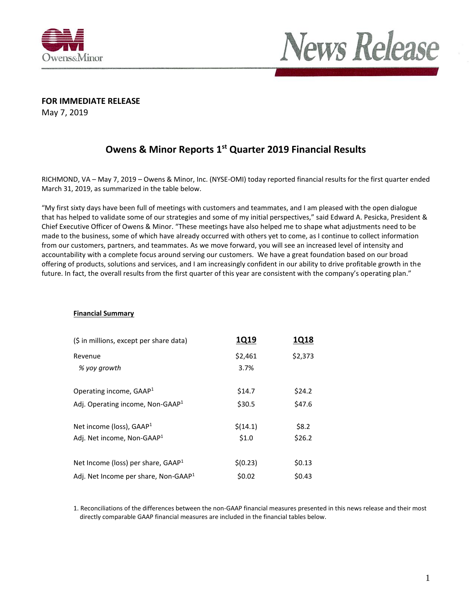



**FOR IMMEDIATE RELEASE**

May 7, 2019

### **Owens & Minor Reports 1st Quarter 2019 Financial Results**

RICHMOND, VA – May 7, 2019 – Owens & Minor, Inc. (NYSE-OMI) today reported financial results for the first quarter ended March 31, 2019, as summarized in the table below.

"My first sixty days have been full of meetings with customers and teammates, and I am pleased with the open dialogue that has helped to validate some of our strategies and some of my initial perspectives," said Edward A. Pesicka, President & Chief Executive Officer of Owens & Minor. "These meetings have also helped me to shape what adjustments need to be made to the business, some of which have already occurred with others yet to come, as I continue to collect information from our customers, partners, and teammates. As we move forward, you will see an increased level of intensity and accountability with a complete focus around serving our customers. We have a great foundation based on our broad offering of products, solutions and services, and I am increasingly confident in our ability to drive profitable growth in the future. In fact, the overall results from the first quarter of this year are consistent with the company's operating plan."

#### **Financial Summary**

| (\$ in millions, except per share data)          | <b>1Q19</b> | <b>1Q18</b> |
|--------------------------------------------------|-------------|-------------|
| Revenue                                          | \$2,461     | \$2,373     |
| % yoy growth                                     | 3.7%        |             |
| Operating income, GAAP <sup>1</sup>              | \$14.7      | \$24.2      |
| Adj. Operating income, Non-GAAP <sup>1</sup>     | \$30.5      | \$47.6      |
| Net income (loss), $GAAP1$                       | \$(14.1)    | \$8.2       |
| Adj. Net income, Non-GAAP <sup>1</sup>           | \$1.0       | \$26.2      |
| Net Income (loss) per share, $GAAP1$             | \$(0.23)    | \$0.13      |
| Adj. Net Income per share, Non-GAAP <sup>1</sup> | \$0.02      | \$0.43      |

1. Reconciliations of the differences between the non-GAAP financial measures presented in this news release and their most directly comparable GAAP financial measures are included in the financial tables below.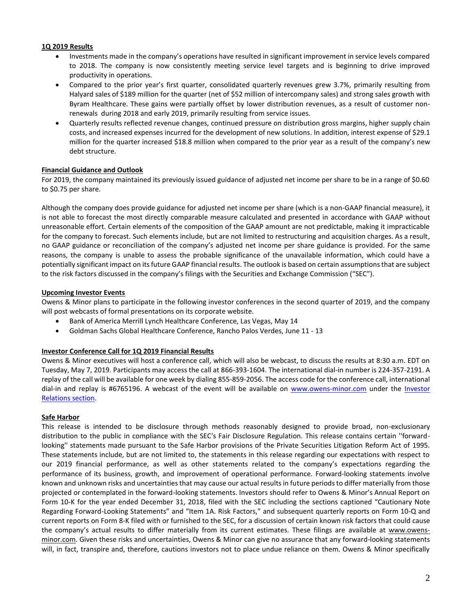#### **1Q 2019 Results**

- Investments made in the company's operations have resulted in significant improvement in service levels compared to 2018. The company is now consistently meeting service level targets and is beginning to drive improved productivity in operations.
- Compared to the prior year's first quarter, consolidated quarterly revenues grew 3.7%, primarily resulting from Halyard sales of \$189 million for the quarter (net of \$52 million of intercompany sales) and strong sales growth with Byram Healthcare. These gains were partially offset by lower distribution revenues, as a result of customer nonrenewals during 2018 and early 2019, primarily resulting from service issues.
- Quarterly results reflected revenue changes, continued pressure on distribution gross margins, higher supply chain costs, and increased expenses incurred for the development of new solutions. In addition, interest expense of \$29.1 million for the quarter increased \$18.8 million when compared to the prior year as a result of the company's new debt structure.

#### **Financial Guidance and Outlook**

For 2019, the company maintained its previously issued guidance of adjusted net income per share to be in a range of \$0.60 to \$0.75 per share.

Although the company does provide guidance for adjusted net income per share (which is a non-GAAP financial measure), it is not able to forecast the most directly comparable measure calculated and presented in accordance with GAAP without unreasonable effort. Certain elements of the composition of the GAAP amount are not predictable, making it impracticable for the company to forecast. Such elements include, but are not limited to restructuring and acquisition charges. As a result, no GAAP guidance or reconciliation of the company's adjusted net income per share guidance is provided. For the same reasons, the company is unable to assess the probable significance of the unavailable information, which could have a potentially significant impact on its future GAAP financial results. The outlook is based on certain assumptions that are subject to the risk factors discussed in the company's filings with the Securities and Exchange Commission ("SEC").

#### **Upcoming Investor Events**

Owens & Minor plans to participate in the following investor conferences in the second quarter of 2019, and the company will post webcasts of formal presentations on its corporate website.

- Bank of America Merrill Lynch Healthcare Conference, Las Vegas, May 14
- Goldman Sachs Global Healthcare Conference, Rancho Palos Verdes, June 11 13

#### **Investor Conference Call for 1Q 2019 Financial Results**

Owens & Minor executives will host a conference call, which will also be webcast, to discuss the results at 8:30 a.m. EDT on Tuesday, May 7, 2019. Participants may access the call at 866-393-1604. The international dial-in number is 224-357-2191. A replay of the call will be available for one week by dialing 855-859-2056. The access code for the conference call, international dial-in and replay is #6765196. A webcast of the event will be available on [www.owens-minor.com](http://www.owens-minor.com/) under the [Investor](http://investors.owens-minor.com/events.cfm)  [Relations section.](http://investors.owens-minor.com/events.cfm)

#### **Safe Harbor**

This release is intended to be disclosure through methods reasonably designed to provide broad, non-exclusionary distribution to the public in compliance with the SEC's Fair Disclosure Regulation. This release contains certain ''forwardlooking'' statements made pursuant to the Safe Harbor provisions of the Private Securities Litigation Reform Act of 1995. These statements include, but are not limited to, the statements in this release regarding our expectations with respect to our 2019 financial performance, as well as other statements related to the company's expectations regarding the performance of its business, growth, and improvement of operational performance. Forward-looking statements involve known and unknown risks and uncertainties that may cause our actual results in future periods to differ materially from those projected or contemplated in the forward-looking statements. Investors should refer to Owens & Minor's Annual Report on Form 10-K for the year ended December 31, 2018, filed with the SEC including the sections captioned "Cautionary Note Regarding Forward-Looking Statements" and "Item 1A. Risk Factors," and subsequent quarterly reports on Form 10-Q and current reports on Form 8-K filed with or furnished to the SEC, for a discussion of certain known risk factors that could cause the company's actual results to differ materially from its current estimates. These filings are available at [www.owens](http://www.owens-minor.com/)[minor.com.](http://www.owens-minor.com/) Given these risks and uncertainties, Owens & Minor can give no assurance that any forward-looking statements will, in fact, transpire and, therefore, cautions investors not to place undue reliance on them. Owens & Minor specifically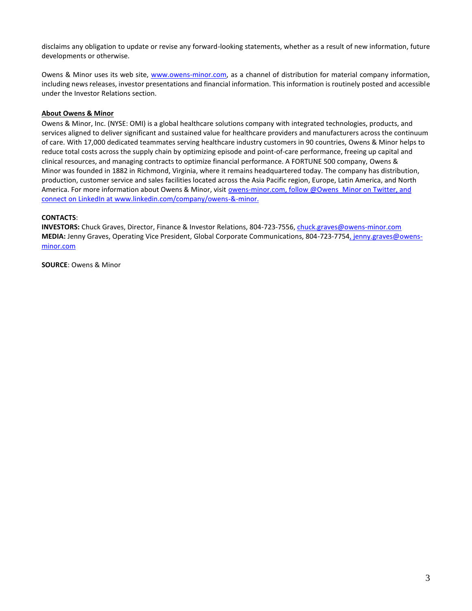disclaims any obligation to update or revise any forward-looking statements, whether as a result of new information, future developments or otherwise.

Owens & Minor uses its web site, [www.owens-minor.com,](http://www.owens-minor.com/) as a channel of distribution for material company information, including news releases, investor presentations and financial information. This information is routinely posted and accessible under the Investor Relations section.

#### **About Owens & Minor**

Owens & Minor, Inc. (NYSE: OMI) is a global healthcare solutions company with integrated technologies, products, and services aligned to deliver significant and sustained value for healthcare providers and manufacturers across the continuum of care. With 17,000 dedicated teammates serving healthcare industry customers in 90 countries, Owens & Minor helps to reduce total costs across the supply chain by optimizing episode and point-of-care performance, freeing up capital and clinical resources, and managing contracts to optimize financial performance. A FORTUNE 500 company, Owens & Minor was founded in 1882 in Richmond, Virginia, where it remains headquartered today. The company has distribution, production, customer service and sales facilities located across the Asia Pacific region, Europe, Latin America, and North America. For more information about Owens & Minor, visit [owens-minor.com,](http://www.owens-minor.com/) follo[w @Owens\\_Minor on Twitter,](https://twitter.com/Owens_Minor) and connect on LinkedIn a[t www.linkedin.com/company/owens-&-minor.](http://www.linkedin.com/company/owens-&-minor)

#### **CONTACTS**:

**INVESTORS:** Chuck Graves, Director, Finance & Investor Relations, 804-723-7556[, chuck.graves@owens-minor.com](mailto:chuck.graves@owens-minor.com) **MEDIA:** Jenny Graves, Operating Vice President, Global Corporate Communications, 804-723-7754[, jenny.graves@owens](mailto:jenny.graves@owens-minor.com)[minor.com](mailto:jenny.graves@owens-minor.com)

**SOURCE**: Owens & Minor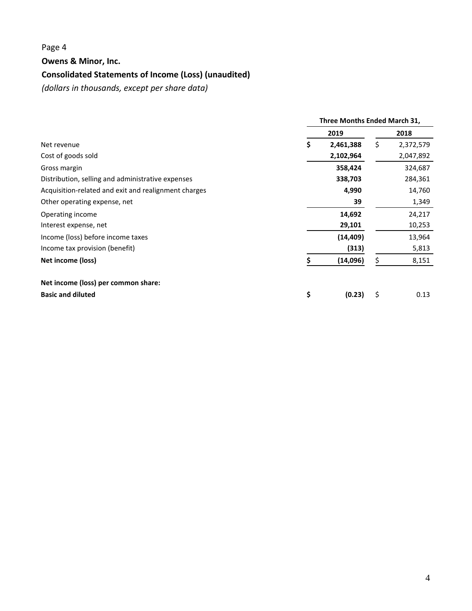# Page 4

#### **Owens & Minor, Inc.**

# **Consolidated Statements of Income (Loss) (unaudited)**

*(dollars in thousands, except per share data)*

|                                                      | Three Months Ended March 31, |           |    |           |
|------------------------------------------------------|------------------------------|-----------|----|-----------|
|                                                      |                              | 2019      |    | 2018      |
| Net revenue                                          | S                            | 2,461,388 | \$ | 2,372,579 |
| Cost of goods sold                                   |                              | 2,102,964 |    | 2,047,892 |
| Gross margin                                         |                              | 358,424   |    | 324,687   |
| Distribution, selling and administrative expenses    |                              | 338,703   |    | 284,361   |
| Acquisition-related and exit and realignment charges |                              | 4,990     |    | 14,760    |
| Other operating expense, net                         |                              | 39        |    | 1,349     |
| Operating income                                     |                              | 14,692    |    | 24,217    |
| Interest expense, net                                |                              | 29,101    |    | 10,253    |
| Income (loss) before income taxes                    |                              | (14, 409) |    | 13,964    |
| Income tax provision (benefit)                       |                              | (313)     |    | 5,813     |
| Net income (loss)                                    |                              | (14,096)  | \$ | 8,151     |
| Net income (loss) per common share:                  |                              |           |    |           |
| <b>Basic and diluted</b>                             | \$                           | (0.23)    | \$ | 0.13      |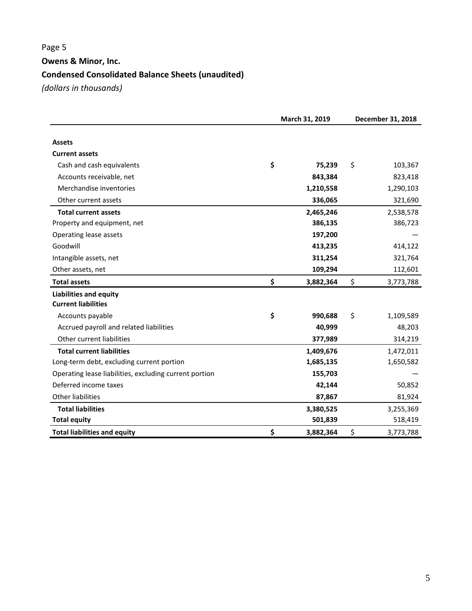# Page 5 **Owens & Minor, Inc. Condensed Consolidated Balance Sheets (unaudited)**

*(dollars in thousands)*

|                                                        | March 31, 2019  |    | December 31, 2018 |  |  |
|--------------------------------------------------------|-----------------|----|-------------------|--|--|
|                                                        |                 |    |                   |  |  |
| <b>Assets</b>                                          |                 |    |                   |  |  |
| <b>Current assets</b>                                  |                 |    |                   |  |  |
| Cash and cash equivalents                              | \$<br>75,239    | \$ | 103,367           |  |  |
| Accounts receivable, net                               | 843,384         |    | 823,418           |  |  |
| Merchandise inventories                                | 1,210,558       |    | 1,290,103         |  |  |
| Other current assets                                   | 336,065         |    | 321,690           |  |  |
| <b>Total current assets</b>                            | 2,465,246       |    | 2,538,578         |  |  |
| Property and equipment, net                            | 386,135         |    | 386,723           |  |  |
| Operating lease assets                                 | 197,200         |    |                   |  |  |
| Goodwill                                               | 413,235         |    | 414,122           |  |  |
| Intangible assets, net                                 | 311,254         |    | 321,764           |  |  |
| Other assets, net                                      | 109,294         |    | 112,601           |  |  |
| <b>Total assets</b>                                    | \$<br>3,882,364 | \$ | 3,773,788         |  |  |
| <b>Liabilities and equity</b>                          |                 |    |                   |  |  |
| <b>Current liabilities</b>                             |                 |    |                   |  |  |
| Accounts payable                                       | \$<br>990,688   | \$ | 1,109,589         |  |  |
| Accrued payroll and related liabilities                | 40,999          |    | 48,203            |  |  |
| Other current liabilities                              | 377,989         |    | 314,219           |  |  |
| <b>Total current liabilities</b>                       | 1,409,676       |    | 1,472,011         |  |  |
| Long-term debt, excluding current portion              | 1,685,135       |    | 1,650,582         |  |  |
| Operating lease liabilities, excluding current portion | 155,703         |    |                   |  |  |
| Deferred income taxes                                  | 42,144          |    | 50,852            |  |  |
| <b>Other liabilities</b>                               | 87,867          |    | 81,924            |  |  |
| <b>Total liabilities</b>                               | 3,380,525       |    | 3,255,369         |  |  |
| <b>Total equity</b>                                    | 501,839         |    | 518,419           |  |  |
| <b>Total liabilities and equity</b>                    | \$<br>3,882,364 | \$ | 3,773,788         |  |  |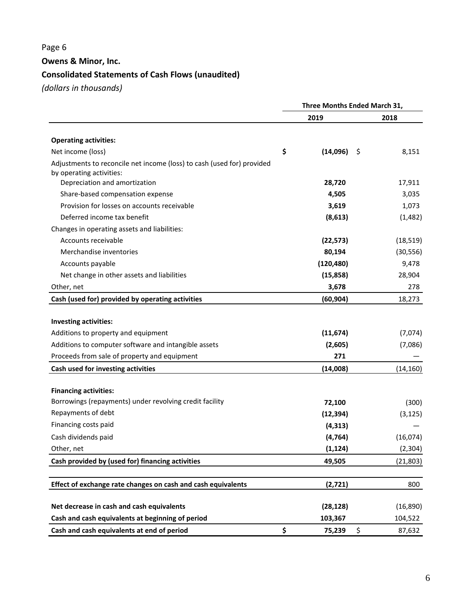# Page 6

**Owens & Minor, Inc.**

# **Consolidated Statements of Cash Flows (unaudited)**

*(dollars in thousands)*

|                                                                                                    | Three Months Ended March 31, |            |    |           |  |
|----------------------------------------------------------------------------------------------------|------------------------------|------------|----|-----------|--|
|                                                                                                    |                              | 2019       |    | 2018      |  |
| <b>Operating activities:</b>                                                                       |                              |            |    |           |  |
| Net income (loss)                                                                                  | \$                           | (14,096)   | Ŝ. | 8,151     |  |
| Adjustments to reconcile net income (loss) to cash (used for) provided<br>by operating activities: |                              |            |    |           |  |
| Depreciation and amortization                                                                      |                              | 28,720     |    | 17,911    |  |
| Share-based compensation expense                                                                   |                              | 4,505      |    | 3,035     |  |
| Provision for losses on accounts receivable                                                        |                              | 3,619      |    | 1,073     |  |
| Deferred income tax benefit                                                                        |                              | (8, 613)   |    | (1,482)   |  |
| Changes in operating assets and liabilities:                                                       |                              |            |    |           |  |
| Accounts receivable                                                                                |                              | (22, 573)  |    | (18, 519) |  |
| Merchandise inventories                                                                            |                              | 80,194     |    | (30, 556) |  |
| Accounts payable                                                                                   |                              | (120, 480) |    | 9,478     |  |
| Net change in other assets and liabilities                                                         |                              | (15, 858)  |    | 28,904    |  |
| Other, net                                                                                         |                              | 3,678      |    | 278       |  |
| Cash (used for) provided by operating activities                                                   |                              | (60, 904)  |    | 18,273    |  |
|                                                                                                    |                              |            |    |           |  |
| <b>Investing activities:</b>                                                                       |                              |            |    |           |  |
| Additions to property and equipment                                                                |                              | (11, 674)  |    | (7,074)   |  |
| Additions to computer software and intangible assets                                               |                              | (2,605)    |    | (7,086)   |  |
| Proceeds from sale of property and equipment                                                       |                              | 271        |    |           |  |
| Cash used for investing activities                                                                 |                              | (14,008)   |    | (14, 160) |  |
| <b>Financing activities:</b>                                                                       |                              |            |    |           |  |
| Borrowings (repayments) under revolving credit facility                                            |                              | 72,100     |    | (300)     |  |
| Repayments of debt                                                                                 |                              | (12, 394)  |    | (3, 125)  |  |
| Financing costs paid                                                                               |                              | (4, 313)   |    |           |  |
| Cash dividends paid                                                                                |                              | (4, 764)   |    | (16,074)  |  |
| Other, net                                                                                         |                              | (1, 124)   |    | (2, 304)  |  |
| Cash provided by (used for) financing activities                                                   |                              | 49,505     |    | (21, 803) |  |
|                                                                                                    |                              |            |    |           |  |
| Effect of exchange rate changes on cash and cash equivalents                                       |                              | (2,721)    |    | 800       |  |
| Net decrease in cash and cash equivalents                                                          |                              | (28, 128)  |    | (16, 890) |  |
| Cash and cash equivalents at beginning of period                                                   |                              | 103,367    |    | 104,522   |  |
| Cash and cash equivalents at end of period                                                         | \$                           | 75,239     | \$ | 87,632    |  |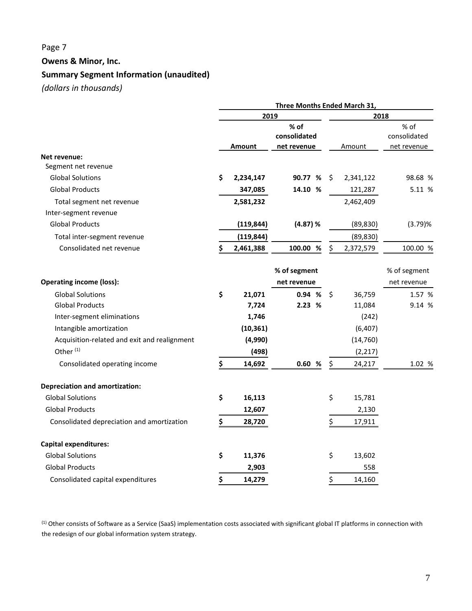# Page 7 **Owens & Minor, Inc. Summary Segment Information (unaudited)**

*(dollars in thousands)*

|                                              | Three Months Ended March 31, |               |                                     |    |           |                                     |  |
|----------------------------------------------|------------------------------|---------------|-------------------------------------|----|-----------|-------------------------------------|--|
|                                              | 2019                         |               |                                     |    | 2018      |                                     |  |
|                                              |                              | <b>Amount</b> | % of<br>consolidated<br>net revenue |    | Amount    | % of<br>consolidated<br>net revenue |  |
| Net revenue:                                 |                              |               |                                     |    |           |                                     |  |
| Segment net revenue                          |                              |               |                                     |    |           |                                     |  |
| <b>Global Solutions</b>                      | \$                           | 2,234,147     | 90.77 %                             | \$ | 2,341,122 | 98.68 %                             |  |
| <b>Global Products</b>                       |                              | 347,085       | 14.10 %                             |    | 121,287   | 5.11 %                              |  |
| Total segment net revenue                    |                              | 2,581,232     |                                     |    | 2,462,409 |                                     |  |
| Inter-segment revenue                        |                              |               |                                     |    |           |                                     |  |
| <b>Global Products</b>                       |                              | (119, 844)    | (4.87) %                            |    | (89, 830) | (3.79)%                             |  |
| Total inter-segment revenue                  |                              | (119, 844)    |                                     |    | (89, 830) |                                     |  |
| Consolidated net revenue                     |                              | 2,461,388     | 100.00 %                            | Ś  | 2,372,579 | 100.00 %                            |  |
|                                              |                              |               | % of segment                        |    |           | % of segment                        |  |
| <b>Operating income (loss):</b>              |                              |               | net revenue                         |    |           | net revenue                         |  |
| <b>Global Solutions</b>                      | \$                           | 21,071        | 0.94 %                              | \$ | 36,759    | 1.57 %                              |  |
| <b>Global Products</b>                       |                              | 7,724         | 2.23 %                              |    | 11,084    | 9.14 %                              |  |
| Inter-segment eliminations                   |                              | 1,746         |                                     |    | (242)     |                                     |  |
| Intangible amortization                      |                              | (10, 361)     |                                     |    | (6, 407)  |                                     |  |
| Acquisition-related and exit and realignment |                              | (4,990)       |                                     |    | (14, 760) |                                     |  |
| Other <sup>(1)</sup>                         |                              | (498)         |                                     |    | (2, 217)  |                                     |  |
| Consolidated operating income                | \$                           | 14,692        | 0.60<br>%                           | \$ | 24,217    | 1.02 %                              |  |
| <b>Depreciation and amortization:</b>        |                              |               |                                     |    |           |                                     |  |
| <b>Global Solutions</b>                      | \$                           | 16,113        |                                     | \$ | 15,781    |                                     |  |
| <b>Global Products</b>                       |                              | 12,607        |                                     |    | 2,130     |                                     |  |
| Consolidated depreciation and amortization   | \$                           | 28,720        |                                     | \$ | 17,911    |                                     |  |
| <b>Capital expenditures:</b>                 |                              |               |                                     |    |           |                                     |  |
| <b>Global Solutions</b>                      | \$                           | 11,376        |                                     | \$ | 13,602    |                                     |  |
| <b>Global Products</b>                       |                              | 2,903         |                                     |    | 558       |                                     |  |
| Consolidated capital expenditures            | \$                           | 14,279        |                                     | \$ | 14,160    |                                     |  |

(1) Other consists of Software as a Service (SaaS) implementation costs associated with significant global IT platforms in connection with the redesign of our global information system strategy.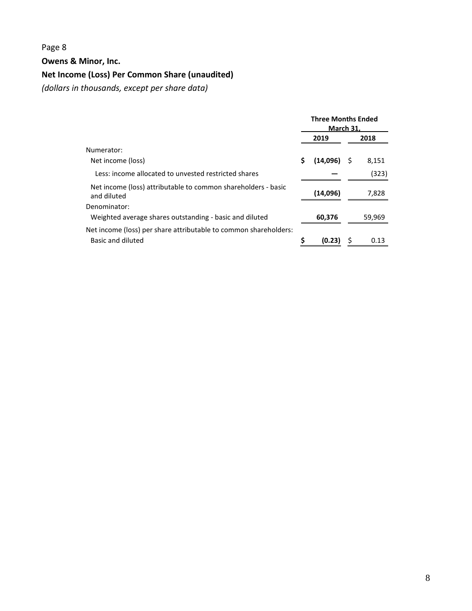# Page 8

**Owens & Minor, Inc.**

# **Net Income (Loss) Per Common Share (unaudited)**

*(dollars in thousands, except per share data)*

|                                                                              | <b>Three Months Ended</b><br><b>March 31.</b> |          |   |        |
|------------------------------------------------------------------------------|-----------------------------------------------|----------|---|--------|
|                                                                              |                                               | 2019     |   | 2018   |
| Numerator:                                                                   |                                               |          |   |        |
| Net income (loss)                                                            | \$                                            | (14,096) | S | 8,151  |
| Less: income allocated to unvested restricted shares                         |                                               |          |   | (323)  |
| Net income (loss) attributable to common shareholders - basic<br>and diluted |                                               | (14,096) |   | 7,828  |
| Denominator:                                                                 |                                               |          |   |        |
| Weighted average shares outstanding - basic and diluted                      |                                               | 60,376   |   | 59,969 |
| Net income (loss) per share attributable to common shareholders:             |                                               |          |   |        |
| Basic and diluted                                                            | ς                                             | (0.23)   |   | 0.13   |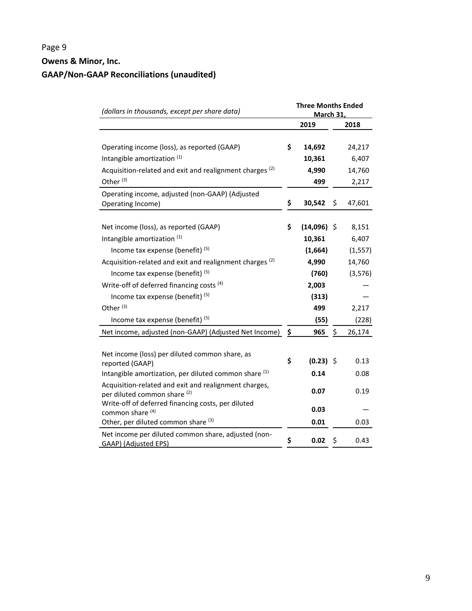# Page 9 **Owens & Minor, Inc. GAAP/Non-GAAP Reconciliations (unaudited)**

| (dollars in thousands, except per share data)                                                                 | <b>Three Months Ended</b><br><b>March 31,</b> |               |    |          |
|---------------------------------------------------------------------------------------------------------------|-----------------------------------------------|---------------|----|----------|
|                                                                                                               |                                               | 2019          |    | 2018     |
| Operating income (loss), as reported (GAAP)                                                                   | \$                                            | 14,692        |    | 24,217   |
| Intangible amortization (1)                                                                                   |                                               | 10,361        |    | 6,407    |
| Acquisition-related and exit and realignment charges <sup>(2)</sup>                                           |                                               | 4,990         |    | 14,760   |
| Other <sup>(3)</sup>                                                                                          |                                               | 499           |    | 2,217    |
| Operating income, adjusted (non-GAAP) (Adjusted<br>Operating Income)                                          | \$                                            | 30,542        | \$ | 47,601   |
| Net income (loss), as reported (GAAP)                                                                         | \$                                            | $(14,096)$ \$ |    | 8,151    |
| Intangible amortization (1)                                                                                   |                                               | 10,361        |    | 6,407    |
| Income tax expense (benefit) $(5)$                                                                            |                                               | (1,664)       |    | (1, 557) |
| Acquisition-related and exit and realignment charges <sup>(2)</sup>                                           |                                               | 4,990         |    | 14,760   |
| Income tax expense (benefit) <sup>(5)</sup>                                                                   |                                               | (760)         |    | (3, 576) |
| Write-off of deferred financing costs <sup>(4)</sup>                                                          |                                               | 2,003         |    |          |
| Income tax expense (benefit) $(5)$                                                                            |                                               | (313)         |    |          |
| Other <sup>(3)</sup>                                                                                          |                                               | 499           |    | 2,217    |
| Income tax expense (benefit) <sup>(5)</sup>                                                                   |                                               | (55)          |    | (228)    |
| Net income, adjusted (non-GAAP) (Adjusted Net Income)                                                         | \$                                            | 965           | \$ | 26,174   |
| Net income (loss) per diluted common share, as<br>reported (GAAP)                                             | \$                                            | $(0.23)$ \$   |    | 0.13     |
| Intangible amortization, per diluted common share (1)                                                         |                                               | 0.14          |    | 0.08     |
| Acquisition-related and exit and realignment charges,<br>per diluted common share (2)                         |                                               | 0.07          |    | 0.19     |
| Write-off of deferred financing costs, per diluted<br>common share (4)<br>Other, per diluted common share (3) |                                               | 0.03<br>0.01  |    | 0.03     |
| Net income per diluted common share, adjusted (non-<br>GAAP) (Adjusted EPS)                                   | \$                                            | 0.02          | \$ | 0.43     |